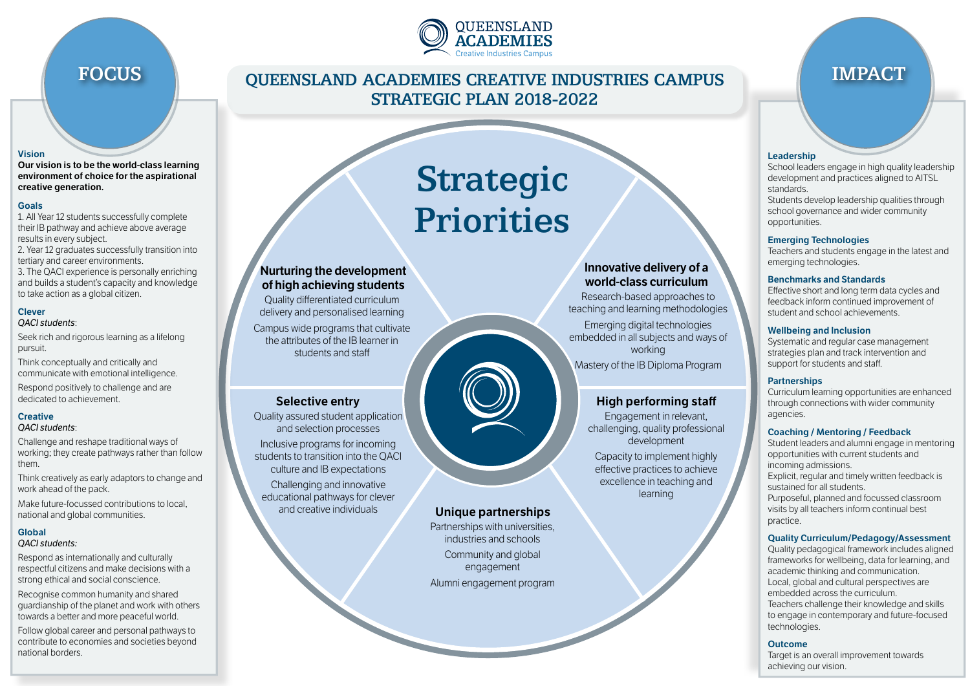

#### **Vision**

**Our vision is to be the world-class learning environment of choice for the aspirational creative generation.**

#### **Goals**

- 1. All Year 12 students successfully complete their IB pathway and achieve above average results in every subject.
- 2. Year 12 graduates successfully transition into tertiary and career environments.
- 3. The QACI experience is personally enriching and builds a student's capacity and knowledge to take action as a global citizen.

#### **Clever** *QACI students*:

Seek rich and rigorous learning as a lifelong pursuit.

Think conceptually and critically and communicate with emotional intelligence.

Respond positively to challenge and are dedicated to achievement.

### **Creative**

#### *QACI students*:

Challenge and reshape traditional ways of working; they create pathways rather than follow them.

Think creatively as early adaptors to change and work ahead of the pack.

Make future-focussed contributions to local, national and global communities.

## **Global**

#### *QACI students:*

Respond as internationally and culturally respectful citizens and make decisions with a strong ethical and social conscience.

Recognise common humanity and shared guardianship of the planet and work with others towards a better and more peaceful world.

Follow global career and personal pathways to contribute to economies and societies beyond national borders.

## FOCUS NUEL QUEENSLAND ACADEMIES CREATIVE INDUSTRIES CAMPUS NUPACT STRATEGIC PLAN 2018-2022

Strategic

**Priorities** 

#### **Leadership**

School leaders engage in high quality leadership development and practices aligned to AITSL standards.

Students develop leadership qualities through school governance and wider community opportunities.

#### **Emerging Technologies**

Teachers and students engage in the latest and emerging technologies.

#### **Benchmarks and Standards**

Effective short and long term data cycles and feedback inform continued improvement of student and school achievements.

#### **Wellbeing and Inclusion**

Systematic and regular case management strategies plan and track intervention and support for students and staff.

#### **Partnerships**

**High performing staff**

Engagement in relevant, challenging, quality professional development Capacity to implement highly effective practices to achieve excellence in teaching and learning

**Innovative delivery of a world-class curriculum**

Research-based approaches to teaching and learning methodologies Emerging digital technologies embedded in all subjects and ways of working Mastery of the IB Diploma Program

> Curriculum learning opportunities are enhanced through connections with wider community agencies.

#### **Coaching / Mentoring / Feedback**

Student leaders and alumni engage in mentoring opportunities with current students and incoming admissions. Explicit, regular and timely written feedback is sustained for all students. Purposeful, planned and focussed classroom visits by all teachers inform continual best practice.

#### **Quality Curriculum/Pedagogy/Assessment**

Quality pedagogical framework includes aligned frameworks for wellbeing, data for learning, and academic thinking and communication. Local, global and cultural perspectives are embedded across the curriculum. Teachers challenge their knowledge and skills to engage in contemporary and future-focused technologies.

#### **Outcome**

Target is an overall improvement towards achieving our vision.



## **Unique partnerships**

Partnerships with universities, industries and schools

Community and global engagement Alumni engagement program

# educational pathways for clever

**Nurturing the development of high achieving students**

Quality differentiated curriculum delivery and personalised learning Campus wide programs that cultivate the attributes of the IB learner in students and staff

**Selective entry**

Quality assured student application and selection processes Inclusive programs for incoming students to transition into the QACI culture and IB expectations Challenging and innovative

and creative individuals